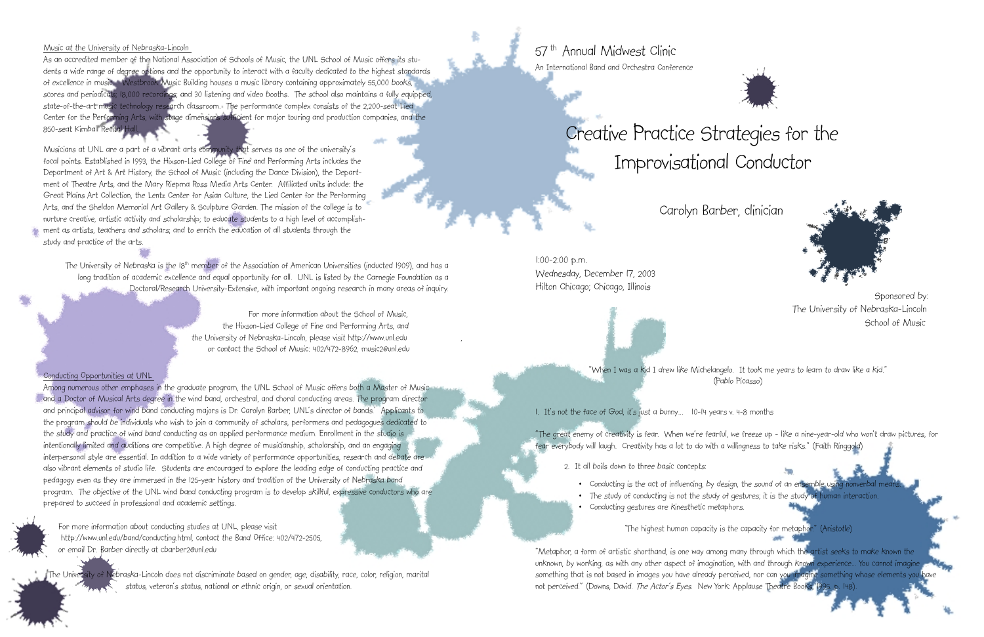57 th Annual Midwest Clinic An International Band and Orchestra Conference

1:00-2:00 p.m. Wednesday, December 17, 2003 Hilton Chicago; Chicago, Illinois Sponsored by:

# Creative Practice Strategies for the Improvisational Conductor

Carolyn Barber, clinician

"When I was a kid I drew like Michelangelo. It took me years to learn to draw like a kid." (Pablo Picasso)

1. It's not the face of God, it's just a bunny...  $10-14$  years v. 4-8 months

- Conducting is the act of influencing, by design, the sound of an ensemble using
- 
- Conducting gestures are kinesthetic metaphors.

"The highest human capacity is the capacity for metaphon." (Aristotle)

"Metaphor, a form of artistic shorthand, is one way among many through which the artist seeks to make known the unknown, by working, as with any other aspect of imagination, with and through known experience... You cannot imagine something that is not based in images you have already perceived, nor can you imagine something whose elements you have not perceived." (Downs, David. The Actor's Eyes. New York: Applause Theatre Books, 1995. p.





"The great enemy of creativity is fear. When we're fearful, we freeze up - like a nine-year-old who won't draw pictures, for fear everybody will laugh. Creativity has a lot to do with a willingness to take risks." (Faith Ringgold)

2. It all boils down to three basic concepts:

As an accredited member of the National Association of Schools of Music, the UNL School of Music offers its students a wide range of degree options and the opportunity to interact with a faculty dedicated to the highest standards of excellence in music. Westbrook Music Building houses a music library containing approximately 55,000 books, scores and periodicals; 18,000 recordings; and 30 listening and video booths. The school also maintains a fully equipped, state-of-the-art music technology research classroom. The performance complex consists of the 2,200-seat Lied Center for the Performing Arts, with stage dimensions sufficient for major touring and production companies, and the 850-seat Kimball Recital H

#### Music at the University of Nebraska-Lincoln

The University of Nebraska is the 18<sup>th</sup> member of the Association of American Universities (inducted 1909), and has a long tradition of academic excellence and equal opportunity for all. UNL is listed by the Carnegie Foundation as a Doctoral/Research University-Extensive, with important ongoing research in many areas of inquiry.

Musicians at UNL are a part of a vibrant arts community that serves as one of the university's focal points. Established in 1993, the Hixson-Lied College of Fine and Performing Arts includes the Department of Art & Art History, the School of Music (including the Dance Division), the Department of Theatre Arts, and the Mary Riepma Ross Media Arts Center. Affiliated units include: the Great Plains Art Collection, the Lentz Center for Asian Culture, the Lied Center for the Performing Arts, and the Sheldon Memorial Art Gallery & Sculpture Garden. The mission of the college is to nurture creative, artistic activity and scholarship; to educate students to a high level of accomplishment as artists, teachers and scholars; and to enrich the education of all students through the study and practice of the arts.

> School of Music The University of Nebraska-Lincoln

• The study of conducting is not the study of gestures; it is the study of human interaction.

 For more information about the School of Music, the Hixson-Lied College of Fine and Performing Arts, and the University of Nebraska-Lincoln, please visit http://www.unl.edu , or contact the School of Music: 402/472-8962, music2@unl.edu

### Conducting Opportunities at UNL

Among numerous other emphases in the graduate program, the UNL School of Music offers both a Master of Music and a Doctor of Musical Arts degree in the wind band, orchestral, and choral conducting areas. The program director and principal advisor for wind band conducting majors is Dr. Carolyn Barber, UNL's director of bands. Applicants to the program should be individuals who wish to join a community of scholars, performers and pedagogues dedicated to the study and practice of wind band conducting as an applied performance medium. Enrollment in the studio is intentionally limited and auditions are competitive. A high degree of musicianship, scholarship, and an engaging interpersonal style are essential. In addition to a wide variety of performance opportunities, research and debate are also vibrant elements of studio life. Students are encouraged to explore the leading edge of conducting practice and pedagogy even as they are immersed in the 125-year history and tradition of the University of Nebraska band program. The objective of the UNL wind band conducting program is to develop skillful, expressive conductors who are prepared to succeed in professional and academic settings.

For more information about conducting studies at UNL, please visit http://www.unl.edu/band/conducting.html, contact the Band Office: 402/472-2505, or email Dr. Barber directly at cbarber2@unl.edu

The University of Nebraska-Lincoln does not discriminate based on gender, age, disability, race, color, religion, marital status, veteran's status, national or ethnic origin, or sexual orientation.